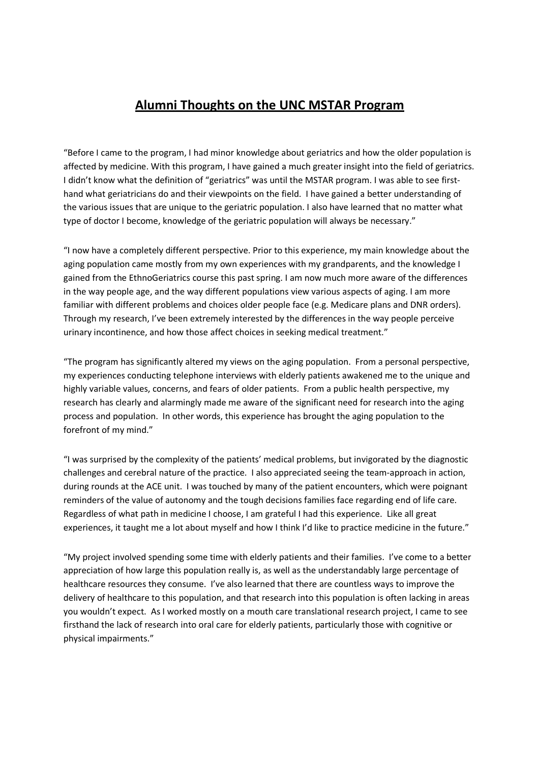## **Alumni Thoughts on the UNC MSTAR Program**

"Before I came to the program, I had minor knowledge about geriatrics and how the older population is affected by medicine. With this program, I have gained a much greater insight into the field of geriatrics. I didn't know what the definition of "geriatrics" was until the MSTAR program. I was able to see firsthand what geriatricians do and their viewpoints on the field. I have gained a better understanding of the various issues that are unique to the geriatric population. I also have learned that no matter what type of doctor I become, knowledge of the geriatric population will always be necessary."

"I now have a completely different perspective. Prior to this experience, my main knowledge about the aging population came mostly from my own experiences with my grandparents, and the knowledge I gained from the EthnoGeriatrics course this past spring. I am now much more aware of the differences in the way people age, and the way different populations view various aspects of aging. I am more familiar with different problems and choices older people face (e.g. Medicare plans and DNR orders). Through my research, I've been extremely interested by the differences in the way people perceive urinary incontinence, and how those affect choices in seeking medical treatment."

"The program has significantly altered my views on the aging population. From a personal perspective, my experiences conducting telephone interviews with elderly patients awakened me to the unique and highly variable values, concerns, and fears of older patients. From a public health perspective, my research has clearly and alarmingly made me aware of the significant need for research into the aging process and population. In other words, this experience has brought the aging population to the forefront of my mind."

"I was surprised by the complexity of the patients' medical problems, but invigorated by the diagnostic challenges and cerebral nature of the practice. I also appreciated seeing the team-approach in action, during rounds at the ACE unit. I was touched by many of the patient encounters, which were poignant reminders of the value of autonomy and the tough decisions families face regarding end of life care. Regardless of what path in medicine I choose, I am grateful I had this experience. Like all great experiences, it taught me a lot about myself and how I think I'd like to practice medicine in the future."

"My project involved spending some time with elderly patients and their families. I've come to a better appreciation of how large this population really is, as well as the understandably large percentage of healthcare resources they consume. I've also learned that there are countless ways to improve the delivery of healthcare to this population, and that research into this population is often lacking in areas you wouldn't expect. As I worked mostly on a mouth care translational research project, I came to see firsthand the lack of research into oral care for elderly patients, particularly those with cognitive or physical impairments."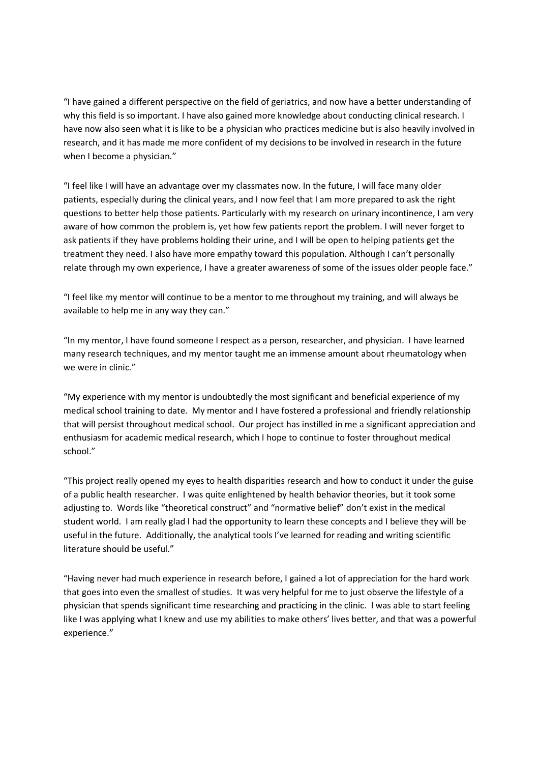"I have gained a different perspective on the field of geriatrics, and now have a better understanding of why this field is so important. I have also gained more knowledge about conducting clinical research. I have now also seen what it is like to be a physician who practices medicine but is also heavily involved in research, and it has made me more confident of my decisions to be involved in research in the future when I become a physician."

"I feel like I will have an advantage over my classmates now. In the future, I will face many older patients, especially during the clinical years, and I now feel that I am more prepared to ask the right questions to better help those patients. Particularly with my research on urinary incontinence, I am very aware of how common the problem is, yet how few patients report the problem. I will never forget to ask patients if they have problems holding their urine, and I will be open to helping patients get the treatment they need. I also have more empathy toward this population. Although I can't personally relate through my own experience, I have a greater awareness of some of the issues older people face."

"I feel like my mentor will continue to be a mentor to me throughout my training, and will always be available to help me in any way they can."

"In my mentor, I have found someone I respect as a person, researcher, and physician. I have learned many research techniques, and my mentor taught me an immense amount about rheumatology when we were in clinic."

"My experience with my mentor is undoubtedly the most significant and beneficial experience of my medical school training to date. My mentor and I have fostered a professional and friendly relationship that will persist throughout medical school. Our project has instilled in me a significant appreciation and enthusiasm for academic medical research, which I hope to continue to foster throughout medical school."

"This project really opened my eyes to health disparities research and how to conduct it under the guise of a public health researcher. I was quite enlightened by health behavior theories, but it took some adjusting to. Words like "theoretical construct" and "normative belief" don't exist in the medical student world. I am really glad I had the opportunity to learn these concepts and I believe they will be useful in the future. Additionally, the analytical tools I've learned for reading and writing scientific literature should be useful."

"Having never had much experience in research before, I gained a lot of appreciation for the hard work that goes into even the smallest of studies. It was very helpful for me to just observe the lifestyle of a physician that spends significant time researching and practicing in the clinic. I was able to start feeling like I was applying what I knew and use my abilities to make others' lives better, and that was a powerful experience."